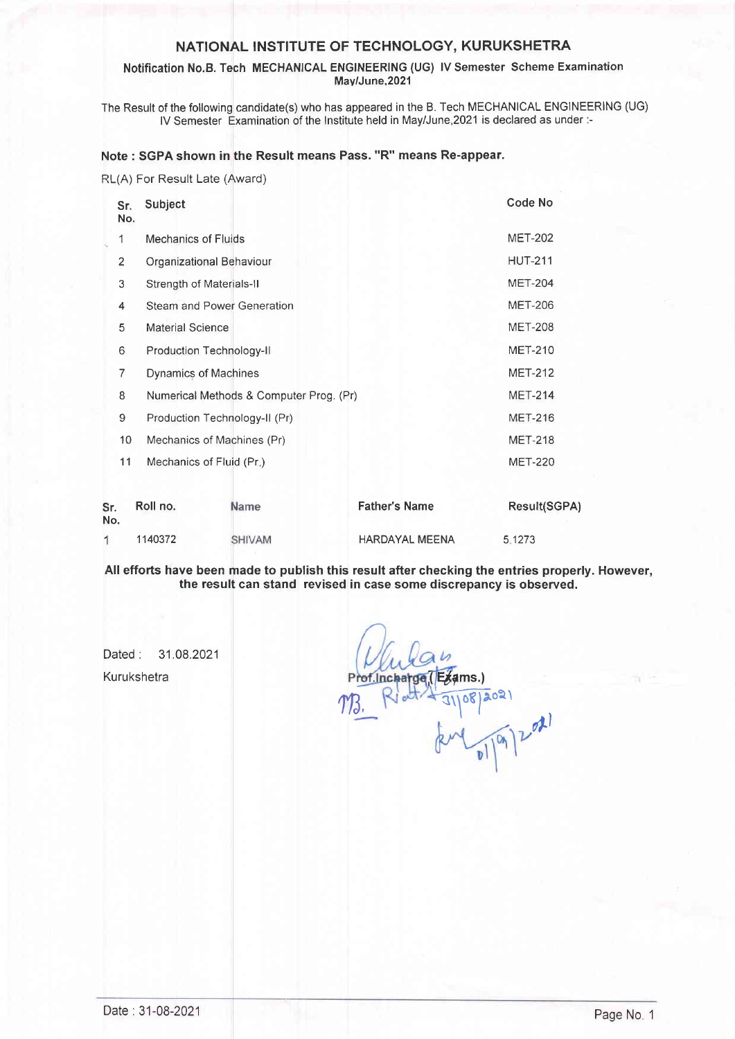#### Notification No.B. Tech MECHANICAL ENGINEERING (UG) lV Semester Scheme Examination May/June,2021

The Result of the following candidate(s) who has appeared in the B. Tech MECHANICAL ENGINEERING (UG) lV Semester Examination of the lnstitute held in May/June,2O21 is declared as under:-

#### Note : SGPA shown in the Result means Pass. "R" means Re-appear.

RL(A) For Result Late (Award)

|                | Sr.<br>No. | Subject                           |                                         |                       | <b>Code No</b> |  |
|----------------|------------|-----------------------------------|-----------------------------------------|-----------------------|----------------|--|
| 1              |            | <b>Mechanics of Fluids</b>        |                                         |                       | <b>MET-202</b> |  |
| $\overline{2}$ |            |                                   | Organizational Behaviour                |                       | <b>HUT-211</b> |  |
| 3              |            | Strength of Materials-II          |                                         |                       | <b>MET-204</b> |  |
| 4              |            | <b>Steam and Power Generation</b> |                                         |                       | <b>MET-206</b> |  |
| 5              |            | <b>Material Science</b>           |                                         |                       | <b>MET-208</b> |  |
| 6              |            |                                   | Production Technology-II                |                       | <b>MET-210</b> |  |
| 7              |            | Dynamics of Machines              |                                         |                       | <b>MET-212</b> |  |
| 8              |            |                                   | Numerical Methods & Computer Prog. (Pr) |                       | <b>MET-214</b> |  |
| 9              |            |                                   | Production Technology-II (Pr)           |                       | <b>MET-216</b> |  |
|                | 10         |                                   | Mechanics of Machines (Pr)              |                       | <b>MET-218</b> |  |
|                | 11         | Mechanics of Fluid (Pr.)          |                                         |                       | <b>MET-220</b> |  |
| Sr.<br>No.     |            | Roll no.                          | Name                                    | <b>Father's Name</b>  | Result(SGPA)   |  |
| 1              |            | 1140372                           | <b>SHIVAM</b>                           | <b>HARDAYAL MEENA</b> | 5.1273         |  |

All efforts have been made to publish this result after checking the entries properly. However, the result can stand revised in case some discrepancy is observed.

Dated: 31.08.2021 Kurukshetra

 $a_1$   $a_2$ ams.)  $\frac{1}{3}$ ,  $\frac{1}{3}$ ,  $\frac{1}{3}$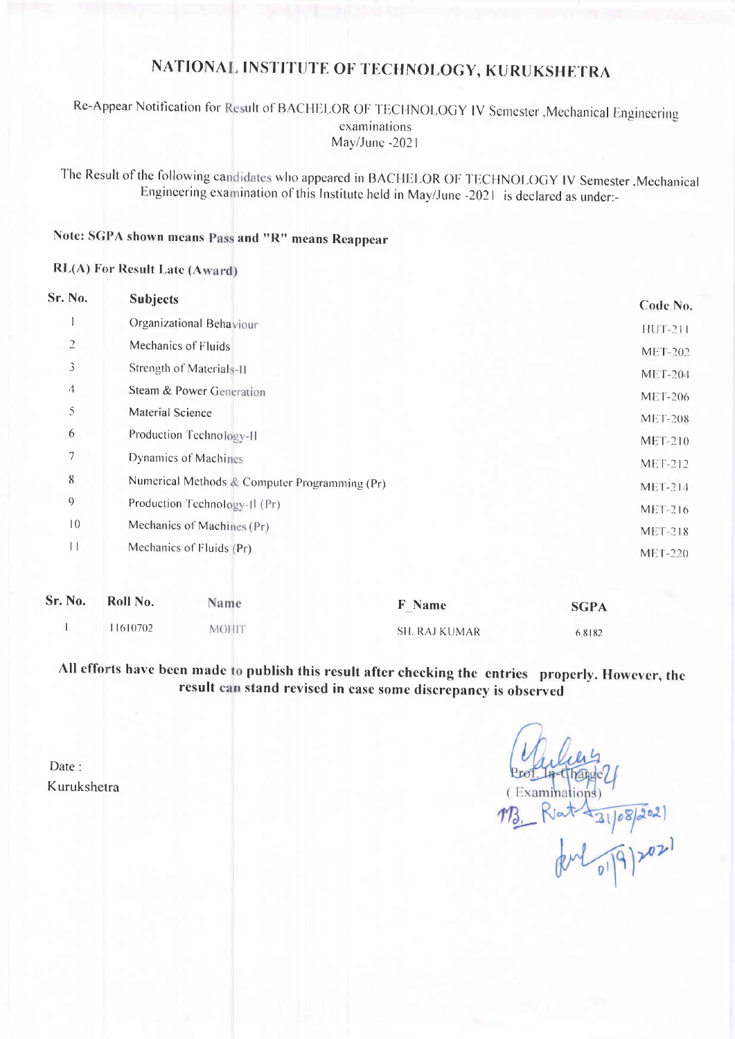## Re-Appear Notification for Result of BACHELOR OF TECHNOLOGY IV Semester , Mechanical Engineering examinations May/June -2021

The Result of the following candidates who appeared in BACHELOR OF TECHNOLOGY IV Semester , Mechanical Engineering examination of this Institute held in May/June -2021 is declared as under:-

# Note: SGPA shown means Pass and "R" means Reappear

## **RL(A) For Result Late (Award)**

| Sr. No.        | <b>Subjects</b>                               | Code No.       |
|----------------|-----------------------------------------------|----------------|
|                | Organizational Behaviour                      | <b>HUT-211</b> |
| $\overline{2}$ | Mechanics of Fluids                           | <b>MET-202</b> |
| 3              | Strength of Materials-II                      | <b>MET-204</b> |
| 4              | Steam & Power Generation                      | <b>MET-206</b> |
| 5.             | Material Science                              | <b>MET-208</b> |
| 6              | Production Technology-II                      | <b>MET-210</b> |
| 7              | Dynamics of Machines                          | MET-212        |
| 8              | Numerical Methods & Computer Programming (Pr) | <b>MET-214</b> |
| $\theta$       | Production Technology-II (Pr)                 | $MEF-216$      |
| 10             | Mechanics of Machines (Pr)                    | $MEF-218$      |
| Ħ              | Mechanics of Fluids (Pr)                      | $MEI-220$      |
|                |                                               |                |

| Sr. No. | Roll No. | Name         | <b>F</b> Name | <b>SGPA</b> |
|---------|----------|--------------|---------------|-------------|
|         | 1610702  | <b>MOHIT</b> | SH. RAJ KUMAR | 6.8182      |

All efforts have been made to publish this result after checking the entries properly. However, the result can stand revised in case some discrepancy is observed

Examinations) sat 1 31/08/2021

Date · Kurukshetra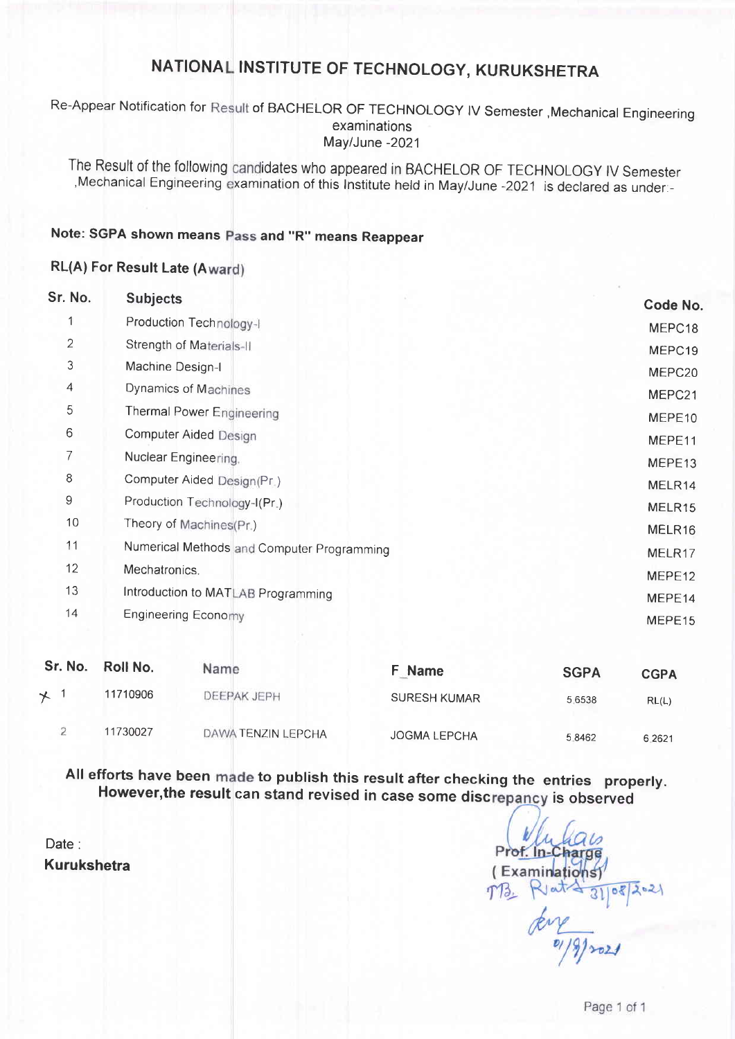Re-Appear Notification for Result of BACHELOR OF TECHNOLOGY IV Semester ,Mechanical Engineering examinations May/June -2021

The Result of the following candidates who appeared in BACHELOR OF TECHNOLOGY IV Semester Mechanical Engineering examination of this Institute held in May/June -2021 is declared as under.

## Note: SGPA shown means Pass and "R" means Reappear

## RL(A) For Result Late (A

| Sr. No. | <b>Subjects</b>                            | Code No.           |
|---------|--------------------------------------------|--------------------|
|         | Production Technology-I                    | MEPC18             |
| 2       | Strength of Materials-II                   | MEPC19             |
| 3       | Machine Design-I                           | MEPC20             |
| 4       | Dynamics of Machines                       | MEPC21             |
| 5       | Thermal Power Engineering                  | MEPE10             |
| 6       | <b>Computer Aided Design</b>               | MEPE11             |
| 7       | Nuclear Engineering.                       | MEPE13             |
| 8       | Computer Aided Design(Pr.)                 | MELR14             |
| 9       | Production Technology-I(Pr.)               | MELR <sub>15</sub> |
| 10      | Theory of Machines(Pr.)                    | MELR16             |
| 11      | Numerical Methods and Computer Programming | MELR17             |
| 12      | Mechatronics.                              | MEPE12             |
| 13      | Introduction to MATLAB Programming         | MEPE14             |
| 14      | <b>Engineering Economy</b>                 | MEPE15             |

| Sr. No. | Roll No. | Name               | <b>F</b> Name       | <b>SGPA</b> | <b>CGPA</b> |
|---------|----------|--------------------|---------------------|-------------|-------------|
| $\star$ | 11710906 | <b>DEEPAK JEPH</b> | <b>SURESH KUMAR</b> | 5.6538      | RL(L)       |
|         | 11730027 | DAWA TENZIN LEPCHA | <b>JOGMA LEPCHA</b> | 5.8462      | 6.2621      |

All efforts have been made to publish this result after checking the entries properly However,the result can stand revised in case some discrepancy is observed

Date: Kurukshetra

Prof. In-Chart (Examinations) TB.  $43108202$  $\frac{1}{\frac{2}{\sqrt{3}}\cdot\frac{1}{\sqrt{3}}}}$